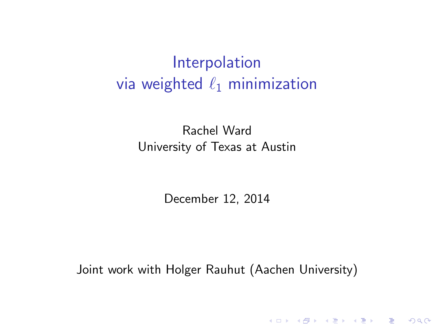<span id="page-0-0"></span>Rachel Ward University of Texas at Austin

December 12, 2014

Joint work with Holger Rauhut (Aachen University)

(ロ) (御) (君) (君) (君) 君 のぬの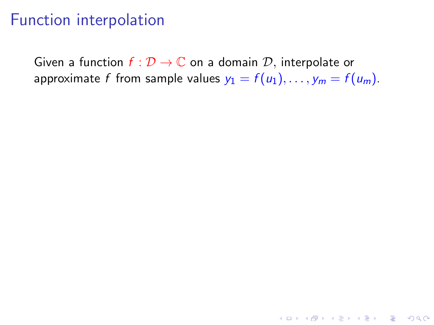### Function interpolation

Given a function  $f: \mathcal{D} \to \mathbb{C}$  on a domain  $\mathcal{D}$ , interpolate or approximate f from sample values  $y_1 = f(u_1), \ldots, y_m = f(u_m)$ .

K ロ ▶ K @ ▶ K 할 > K 할 > 1 할 > 1 이익어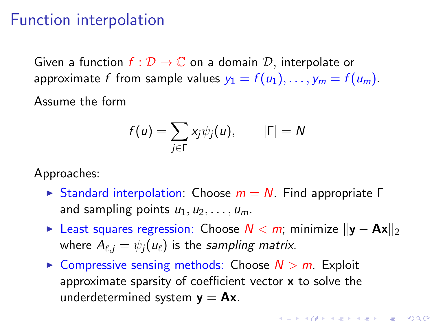#### <span id="page-2-0"></span>Function interpolation

Given a function  $f: \mathcal{D} \to \mathbb{C}$  on a domain  $\mathcal{D}$ , interpolate or approximate f from sample values  $y_1 = f(u_1), \ldots, y_m = f(u_m)$ .

Assume the form

$$
f(u) = \sum_{j \in \Gamma} x_j \psi_j(u), \qquad |\Gamma| = N
$$

Approaches:

- **In Standard interpolation:** Choose  $m = N$ . Find appropriate Γ and sampling points  $u_1, u_2, \ldots, u_m$ .
- $\triangleright$  Least squares regression: Choose  $N < m$ ; minimize  $||\mathbf{v} \mathbf{A}\mathbf{x}||_2$ where  $A_{\ell,j} = \psi_j(u_\ell)$  is the sampling matrix.
- $\triangleright$  Compressive sensing methods: Choose  $N > m$ . Exploit approximate sparsity of coefficient vector  $x$  to solve the underdetermined system  $y = Ax$ .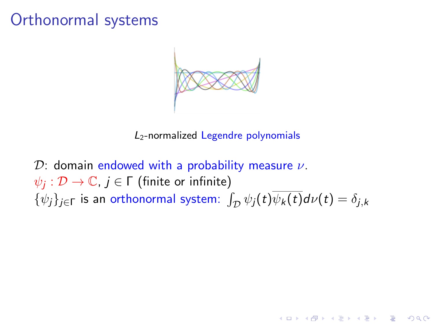<span id="page-3-0"></span>

L2-normalized Legendre polynomials

**KORK STRAIN A BAR SHOP** 

 $\mathcal{D}$ : domain endowed with a probability measure  $\nu$ .  $ψ_j : \mathcal{D} \to \mathbb{C}$ ,  $j \in \mathsf{\Gamma}$  (finite or infinite)  $\{\psi_j\}_{j\in\Gamma}$  is an orthonormal system:  $\int_{\mathcal{D}} \psi_j(t)\psi_k(t)d\nu(t) = \delta_{j,k}$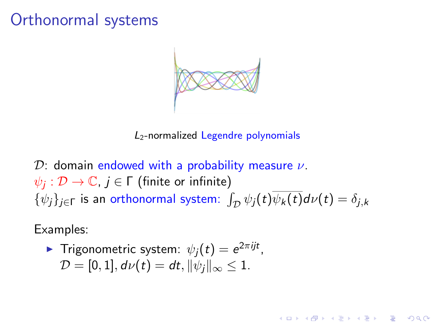<span id="page-4-0"></span>

L2-normalized Legendre polynomials

**KORK STRAIN A BAR SHOP** 

D: domain endowed with a probability measure  $\nu$ .  $ψ_j : \mathcal{D} \to \mathbb{C}$ ,  $j \in \mathsf{\Gamma}$  (finite or infinite)  $\{\psi_j\}_{j\in\Gamma}$  is an orthonormal system:  $\int_{\mathcal{D}} \psi_j(t)\psi_k(t)d\nu(t) = \delta_{j,k}$ 

Examples:

• Trigonometric system: 
$$
\psi_j(t) = e^{2\pi i j t}
$$
,  
\n $\mathcal{D} = [0, 1], d\nu(t) = dt, \|\psi_j\|_{\infty} \le 1$ .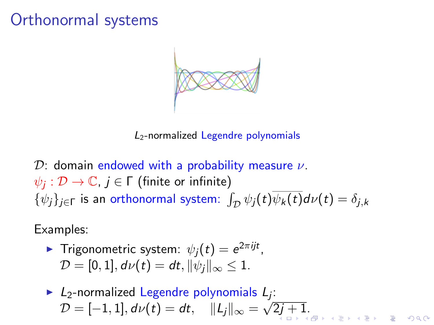

L2-normalized Legendre polynomials

D: domain endowed with a probability measure  $\nu$ .  $ψ_j : \mathcal{D} \to \mathbb{C}$ ,  $j \in \mathsf{\Gamma}$  (finite or infinite)  $\{\psi_j\}_{j\in\Gamma}$  is an orthonormal system:  $\int_{\mathcal{D}} \psi_j(t)\psi_k(t)d\nu(t) = \delta_{j,k}$ 

Examples:

$$
\text{Trigonometric system: } \psi_j(t) = e^{2\pi i j t},
$$
\n
$$
\mathcal{D} = [0, 1], d\nu(t) = dt, \|\psi_j\|_{\infty} \leq 1.
$$

 $\triangleright$  L<sub>2</sub>-normalized Legendre polynomials L<sub>j</sub>:  $\mathcal{D} = [-1,1], d\nu(t) = dt, \quad \|L_j\|_\infty = \sqrt{2j+1}.$  $\mathcal{D} = [-1,1], d\nu(t) = dt, \quad \|L_j\|_\infty = \sqrt{2j+1}.$  $\mathcal{D} = [-1,1], d\nu(t) = dt, \quad \|L_j\|_\infty = \sqrt{2j+1}.$  $\mathcal{D} = [-1,1], d\nu(t) = dt, \quad \|L_j\|_\infty = \sqrt{2j+1}.$  $\mathcal{D} = [-1,1], d\nu(t) = dt, \quad \|L_j\|_\infty = \sqrt{2j+1}.$  $\mathcal{D} = [-1,1], d\nu(t) = dt, \quad \|L_j\|_\infty = \sqrt{2j+1}.$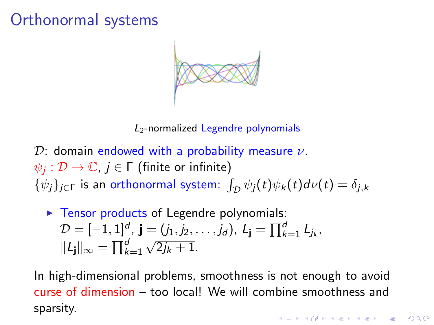<span id="page-6-0"></span>

L2-normalized Legendre polynomials

 $\mathcal{D}$ : domain endowed with a probability measure  $\nu$ .  $\psi_j : \mathcal{D} \to \mathbb{C}$ ,  $j \in \mathsf{\Gamma}$  (finite or infinite)  $\{\psi_j\}_{j\in\Gamma}$  is an orthonormal system:  $\int_{\mathcal{D}} \psi_j(t)\psi_k(t)d\nu(t) = \delta_{j,k}$ 

► Tensor products of Legendre polynomials:  
\n
$$
\mathcal{D} = [-1, 1]^d, \mathbf{j} = (j_1, j_2, \dots, j_d), L_{\mathbf{j}} = \prod_{k=1}^d L_{j_k},
$$
\n
$$
||L_{\mathbf{j}}||_{\infty} = \prod_{k=1}^d \sqrt{2j_k + 1}.
$$

In high-dimensional problems, smoothness is not enough to avoid curse of dimension – too local! We will combine smoothness and sparsity.**KORKA SERKER ORA**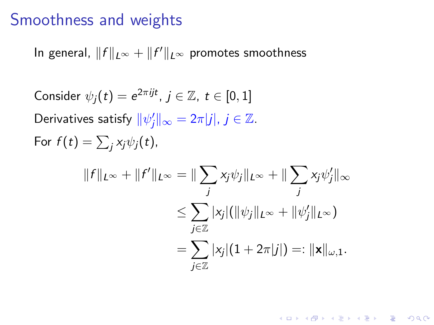#### Smoothness and weights

In general,  $\|f\|_{L^\infty} + \|f'\|_{L^\infty}$  promotes smoothness

Consider  $\psi_j(t)=e^{2\pi i j t}$ ,  $j\in\mathbb{Z},\ t\in[0,1]$ Derivatives satisfy  $\|\psi'_j\|_\infty = 2\pi |j|, j \in \mathbb{Z}$ . For  $f(t) = \sum_j x_j \psi_j(t)$ ,  $||f||_{L^{\infty}} + ||f'||_{L^{\infty}} = ||\sum$ j  $x_j \psi_j \|_{L^\infty} + \| \sum$ j  $x_j \psi'_j \|_\infty$  $\leq \sum|\mathsf{x}_{j}|(\|\psi_{j}\|_{L^{\infty}}+\|\psi'_{j}\|_{L^{\infty}})$ j∈Z  $=\sum |x_j|(1+2\pi|j|)=:\|\mathbf{x}\|_{\omega,1}.$ j∈Z

4 D > 4 P + 4 B + 4 B + B + 9 Q O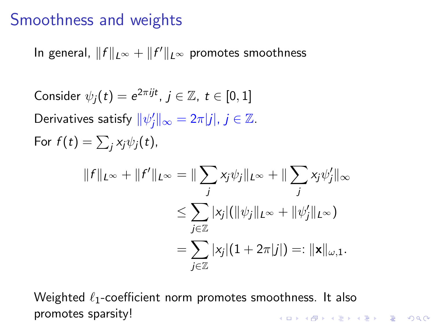#### Smoothness and weights

In general,  $\|f\|_{L^\infty} + \|f'\|_{L^\infty}$  promotes smoothness

Consider  $\psi_j(t)=e^{2\pi i j t}$ ,  $j\in\mathbb{Z},\ t\in[0,1]$ Derivatives satisfy  $\|\psi'_j\|_\infty = 2\pi |j|, j \in \mathbb{Z}$ . For  $f(t) = \sum_j x_j \psi_j(t)$ ,  $||f||_{L^{\infty}} + ||f'||_{L^{\infty}} = ||\sum$ j  $x_j \psi_j \|_{L^\infty} + \| \sum$ j  $x_j \psi'_j \|_\infty$  $\leq \sum|\mathsf{x}_{j}|(\|\psi_{j}\|_{L^{\infty}}+\|\psi'_{j}\|_{L^{\infty}})$ j∈Z  $=\sum |x_j|(1+2\pi|j|)=:\|\mathbf{x}\|_{\omega,1}.$ j∈Z

Weighted  $\ell_1$ -coefficient norm promotes smoothness. It also promotes sparsity!**K ロ ▶ K @ ▶ K 할 X X 할 X → 할 X → 9 Q Q ^**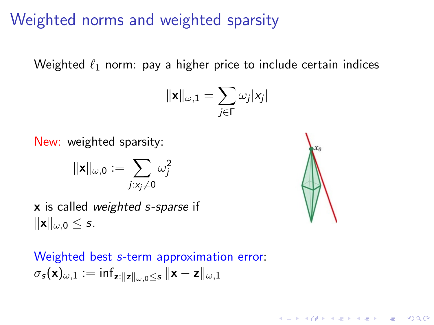### Weighted norms and weighted sparsity

Weighted  $\ell_1$  norm: pay a higher price to include certain indices

$$
\|\mathbf{x}\|_{\omega,1} = \sum_{j\in\Gamma} \omega_j |x_j|
$$

New: weighted sparsity:

$$
\|\mathbf{x}\|_{\omega,0}:=\sum_{j:x_j\neq 0}\omega_j^2
$$

x is called weighted s-sparse if  $\|\mathbf{x}\|_{\omega,0} \leq s.$ 

**KORKA SERKER ORA** 

Weighted best s-term approximation error:  $\sigma_{\mathbf{s}}(\mathbf{x})_{\omega,1} := \inf_{\mathbf{z} : \|\mathbf{z}\|_{\omega,0} \leq \mathbf{s}} \|\mathbf{x} - \mathbf{z}\|_{\omega,1}$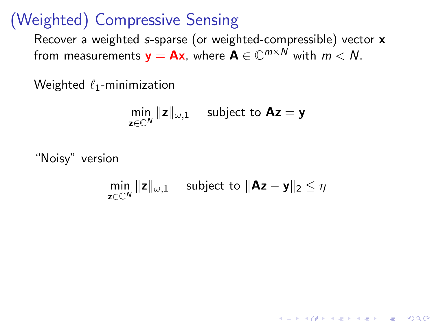### (Weighted) Compressive Sensing

Recover a weighted s-sparse (or weighted-compressible) vector x from measurements  $\mathbf{y} = \mathbf{A}\mathbf{x}$ , where  $\mathbf{A} \in \mathbb{C}^{m \times N}$  with  $m < N$ .

Weighted  $\ell_1$ -minimization

$$
\min_{\mathbf{z}\in\mathbb{C}^N}\|\mathbf{z}\|_{\omega,1}\quad\text{ subject to }\mathbf{Az}=\mathbf{y}
$$

"Noisy" version

 $\min_{\mathbf{z} \in \mathbb{C}^N} \|\mathbf{z}\|_{\omega,1}$  subject to  $\|\mathbf{A}\mathbf{z} - \mathbf{y}\|_2 \leq \eta$ 

**KORKA SERKER ORA**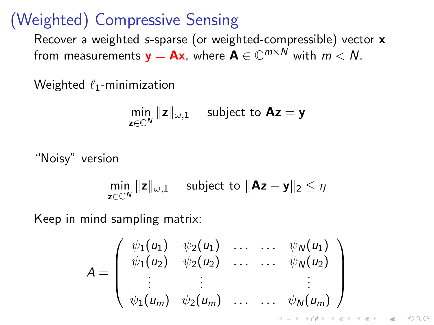# <span id="page-11-0"></span>(Weighted) Compressive Sensing

Recover a weighted s-sparse (or weighted-compressible) vector x from measurements  $\mathbf{y} = \mathbf{A}\mathbf{x}$ , where  $\mathbf{A} \in \mathbb{C}^{m \times N}$  with  $m < N$ .

Weighted  $\ell_1$ -minimization

$$
\min_{\mathbf{z}\in\mathbb{C}^N}\|\mathbf{z}\|_{\omega,1}\quad\text{ subject to }\mathbf{Az}=\mathbf{y}
$$

"Noisy" version

$$
\min_{\mathbf{z}\in\mathbb{C}^N} \|\mathbf{z}\|_{\omega,1} \quad \text{ subject to } \|\mathbf{A}\mathbf{z}-\mathbf{y}\|_2 \leq \eta
$$

Keep in mind sampling matrix:

$$
A = \left(\begin{array}{cccc} \psi_1(u_1) & \psi_2(u_1) & \dots & \dots & \psi_N(u_1) \\ \psi_1(u_2) & \psi_2(u_2) & \dots & \dots & \psi_N(u_2) \\ \vdots & \vdots & & \vdots \\ \psi_1(u_m) & \psi_2(u_m) & \dots & \dots & \psi_N(u_m) \end{array}\right)
$$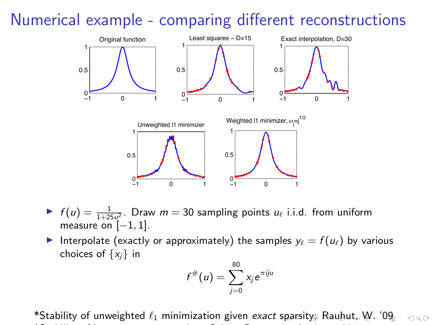### <span id="page-12-0"></span>Numerical example - comparing different reconstructions



- If  $f(u) = \frac{1}{1+25u^2}$ . Draw  $m = 30$  sampling points  $u_\ell$  i.i.d. from uniform measure on  $[-1, 1]$ .
- Interpolate (exactly or approximately) the samples  $y_\ell = f(u_\ell)$  by various choices of  $\{x_i\}$  in

$$
f^{\#}(u)=\sum_{j=0}^{80}x_j e^{\pi i j u}
$$

\*Stabil[it](#page-11-0)y of unweighted  $\ell_1$  minimization given exact [sp](#page-11-0)[ars](#page-13-0)it[y:](#page-12-0) [R](#page-13-0)[au](#page-0-0)[hut](#page-47-0)[, W](#page-0-0)[.](#page-47-0) ['09](#page-0-0)  $2990$ \*Stability of least squares regression: Cohen, Davenport, Leviatan 2011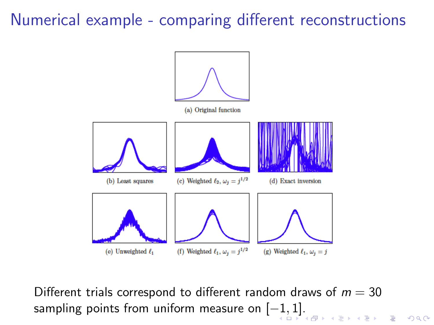### <span id="page-13-0"></span>Numerical example - comparing different reconstructions



Different trials correspond to different random draws of  $m = 30$ sampling points from uniform measure on  $[-1,1]$  $[-1,1]$  $[-1,1]$  $[-1,1]$ [.](#page-12-0)

 $2980$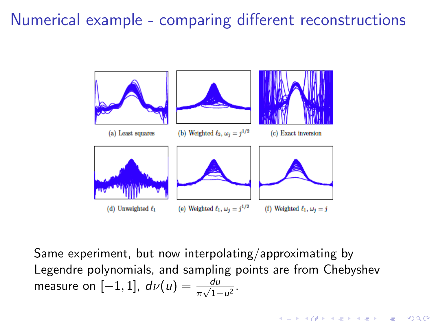### <span id="page-14-0"></span>Numerical example - comparing different reconstructions



Same experiment, but now interpolating/approximating by Legendre polynomials, and sampling points are from Chebyshev measure on  $[-1, 1]$ ,  $d\nu(u) = \frac{du}{\pi\sqrt{1-u^2}}$ .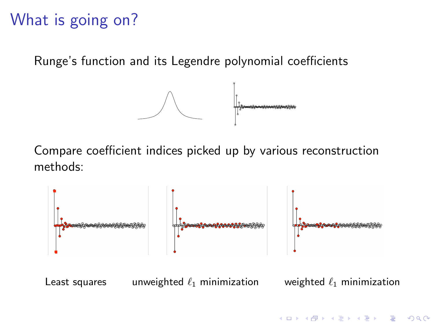# What is going on?

Runge's function and its Legendre polynomial coefficients



Compare coefficient indices picked up by various reconstruction methods:



**KORK STRAIN A BAR SHOP**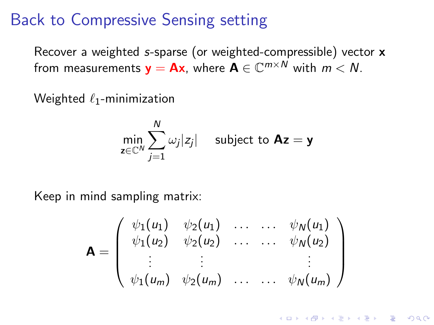### Back to Compressive Sensing setting

Recover a weighted s-sparse (or weighted-compressible) vector x from measurements  $\mathbf{y} = \mathbf{A}\mathbf{x}$ , where  $\mathbf{A} \in \mathbb{C}^{m \times N}$  with  $m < N$ .

Weighted  $\ell_1$ -minimization

$$
\min_{\mathbf{z}\in\mathbb{C}^N}\sum_{j=1}^N\omega_j|z_j|\quad\text{ subject to }\mathbf{Az}=\mathbf{y}
$$

Keep in mind sampling matrix:

$$
\mathbf{A} = \left(\begin{array}{cccc} \psi_1(u_1) & \psi_2(u_1) & \dots & \dots & \psi_N(u_1) \\ \psi_1(u_2) & \psi_2(u_2) & \dots & \dots & \psi_N(u_2) \\ \vdots & \vdots & & \vdots \\ \psi_1(u_m) & \psi_2(u_m) & \dots & \psi_N(u_m) \end{array}\right)
$$

**KORKA SERKER ORA**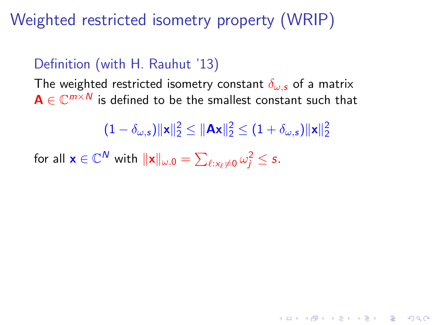Weighted restricted isometry property (WRIP)

#### Definition (with H. Rauhut '13)

The weighted restricted isometry constant  $\delta_{\omega,s}$  of a matrix  $\textsf{A} \in \mathbb{C}^{m \times N}$  is defined to be the smallest constant such that

 $(1-\delta_{\omega,s})\Vert \mathbf{x} \Vert_2^2 \leq \Vert \mathbf{A}\mathbf{x} \Vert_2^2 \leq (1+\delta_{\omega,s})\Vert \mathbf{x} \Vert_2^2$ 

**AD A 4 4 4 5 A 5 A 5 A 4 D A 4 D A 4 P A 4 5 A 4 5 A 5 A 4 A 4 A 4 A** 

for all  $\mathbf{x} \in \mathbb{C}^N$  with  $\|\mathbf{x}\|_{\omega,0} = \sum_{\ell: x_\ell \neq 0} \omega_j^2 \leq s$ .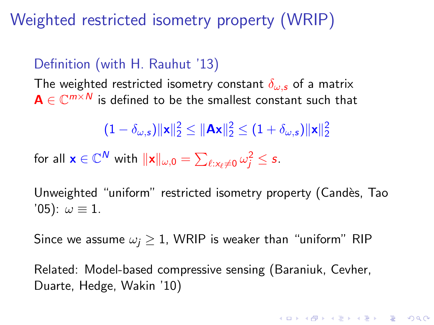Weighted restricted isometry property (WRIP)

#### Definition (with H. Rauhut '13)

The weighted restricted isometry constant  $\delta_{\omega,s}$  of a matrix  $\textsf{A} \in \mathbb{C}^{m \times N}$  is defined to be the smallest constant such that

$$
(1-\delta_{\omega,s})\|\mathbf{x}\|_2^2\leq \|\mathbf{Ax}\|_2^2\leq (1+\delta_{\omega,s})\|\mathbf{x}\|_2^2
$$

for all  $\mathbf{x} \in \mathbb{C}^N$  with  $\|\mathbf{x}\|_{\omega,0} = \sum_{\ell: x_\ell \neq 0} \omega_j^2 \leq s$ .

Unweighted "uniform" restricted isometry property (Candès, Tao '05):  $\omega \equiv 1$ .

Since we assume  $\omega_i \geq 1$ , WRIP is weaker than "uniform" RIP

Related: Model-based compressive sensing (Baraniuk, Cevher, Duarte, Hedge, Wakin '10)

4 D > 4 P + 4 B + 4 B + B + 9 Q O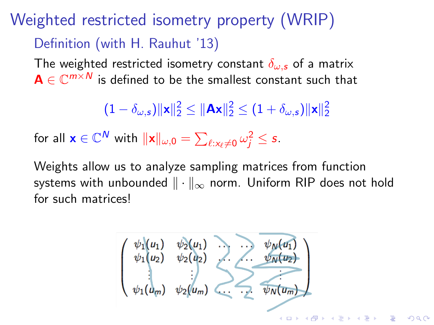# Weighted restricted isometry property (WRIP) Definition (with H. Rauhut '13)

The weighted restricted isometry constant  $\delta_{\omega,s}$  of a matrix  $\textbf{A} \in \mathbb{C}^{m \times N}$  is defined to be the smallest constant such that

 $(1-\delta_{\omega,\boldsymbol{s}})\Vert \mathbf{x}\Vert_2^2\leq \Vert \mathbf{A}\mathbf{x}\Vert_2^2\leq (1+\delta_{\omega,\boldsymbol{s}})\Vert \mathbf{x}\Vert_2^2$ 

for all  $\mathbf{x} \in \mathbb{C}^N$  with  $\|\mathbf{x}\|_{\omega,0} = \sum_{\ell: \mathsf{x}_\ell \neq \mathsf{0}} \omega_j^2 \leq s$ .

Weights allow us to analyze sampling matrices from function systems with unbounded  $\|\cdot\|_{\infty}$  norm. Uniform RIP does not hold for such matrices!

$$
\begin{pmatrix}\n\psi_1(u_1) & \psi_2(u_1) & \psi_3(u_1) \\
\psi_1(u_2) & \psi_2(u_2) & \psi_3(u_2) \\
\vdots & \vdots & \ddots & \vdots \\
\psi_1(u_m) & \psi_2(u_m) & \psi_3(u_m)\n\end{pmatrix}
$$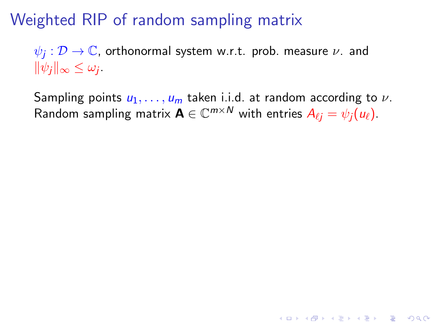# Weighted RIP of random sampling matrix

 $\psi_j: \mathcal{D} \rightarrow \mathbb{C}$ , orthonormal system w.r.t. prob. measure  $\nu$ . and  $\|\psi_j\|_{\infty} \leq \omega_j.$ 

Sampling points  $u_1, \ldots, u_m$  taken i.i.d. at random according to  $\nu$ . Random sampling matrix  $\mathbf{A} \in \mathbb{C}^{m \times N}$  with entries  $A_{\ell j} = \psi_j(u_\ell).$ 

**K ロ ▶ K @ ▶ K 할 X X 할 X → 할 X → 9 Q Q ^**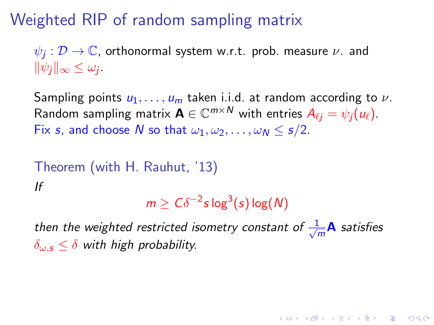# Weighted RIP of random sampling matrix

 $\psi_j: \mathcal{D} \rightarrow \mathbb{C}$ , orthonormal system w.r.t. prob. measure  $\nu$ . and  $\|\psi_j\|_{\infty} \leq \omega_j.$ 

Sampling points  $u_1, \ldots, u_m$  taken i.i.d. at random according to  $\nu$ . Random sampling matrix  $\mathbf{A} \in \mathbb{C}^{m \times N}$  with entries  $A_{\ell j} = \psi_j(u_\ell).$ Fix s, and choose N so that  $\omega_1, \omega_2, \ldots, \omega_N \le s/2$ .

Theorem (with H. Rauhut, '13) If

 $m \geq C \delta^{-2} s \log^3(s) \log(N)$ 

**AD A 4 4 4 5 A 5 A 5 A 4 D A 4 D A 4 P A 4 5 A 4 5 A 5 A 4 A 4 A 4 A** 

then the weighted restricted isometry constant of  $\frac{1}{\sqrt{2}}$  $\frac{1}{m}$ **A** satisfies  $\delta_{\omega,s} \leq \delta$  with high probability.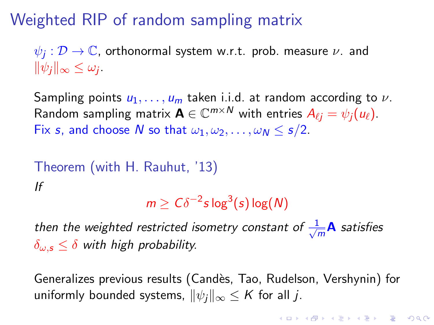# Weighted RIP of random sampling matrix

 $\psi_j: \mathcal{D} \rightarrow \mathbb{C}$ , orthonormal system w.r.t. prob. measure  $\nu$ . and  $\|\psi_j\|_{\infty} \leq \omega_j.$ 

Sampling points  $u_1, \ldots, u_m$  taken i.i.d. at random according to  $\nu$ . Random sampling matrix  $\mathbf{A} \in \mathbb{C}^{m \times N}$  with entries  $A_{\ell j} = \psi_j(u_\ell).$ Fix s, and choose N so that  $\omega_1, \omega_2, \ldots, \omega_N \le s/2$ .

Theorem (with H. Rauhut, '13) 
$$
If
$$
  $2x + 3y + 2y = 2$ 

 $m \geq C \delta^{-2} s \log^3(s) \log(N)$ 

then the weighted restricted isometry constant of  $\frac{1}{\sqrt{2}}$  $\frac{1}{m}$ **A** satisfies  $\delta_{\omega,s} \leq \delta$  with high probability.

Generalizes previous results (Candès, Tao, Rudelson, Vershynin) for uniformly bounded systems,  $\|\psi_i\|_{\infty} \leq K$  for all j.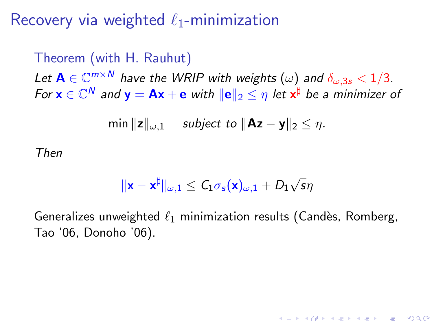Recovery via weighted  $\ell_1$ -minimization

Theorem (with H. Rauhut) Let  $\mathbf{A} \in \mathbb{C}^{m \times N}$  have the WRIP with weights  $(\omega)$  and  $\delta_{\omega,3s} < 1/3$ . For  $\mathbf{x} \in \mathbb{C}^N$  and  $\mathbf{y} = \mathbf{A}\mathbf{x} + \mathbf{e}$  with  $\|\mathbf{e}\|_2 \leq \eta$  let  $\mathbf{x}^\sharp$  be a minimizer of

$$
\min \|z\|_{\omega,1} \quad \text{ subject to } \|\mathbf{Az} - \mathbf{y}\|_2 \leq \eta.
$$

Then

$$
\|\mathbf{x} - \mathbf{x}^{\sharp}\|_{\omega,1} \leq C_1 \sigma_s(\mathbf{x})_{\omega,1} + D_1 \sqrt{s} \eta
$$

Generalizes unweighted  $\ell_1$  minimization results (Candès, Romberg, Tao '06, Donoho '06).

**KORKAR KERKER EL VOLO**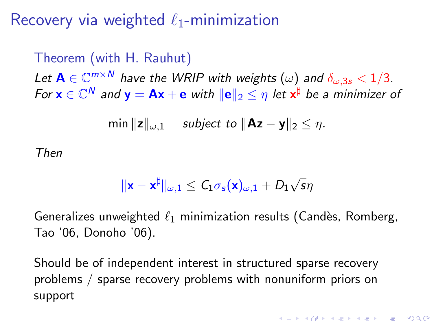Recovery via weighted  $\ell_1$ -minimization

Theorem (with H. Rauhut) Let  $\mathbf{A} \in \mathbb{C}^{m \times N}$  have the WRIP with weights  $(\omega)$  and  $\delta_{\omega,3s} < 1/3$ . For  $\mathbf{x} \in \mathbb{C}^N$  and  $\mathbf{y} = \mathbf{A}\mathbf{x} + \mathbf{e}$  with  $\|\mathbf{e}\|_2 \leq \eta$  let  $\mathbf{x}^\sharp$  be a minimizer of

$$
\min ||z||_{\omega,1} \quad \text{ subject to } ||Az - y||_2 \leq \eta.
$$

Then

$$
\|\mathbf{x}-\mathbf{x}^{\sharp}\|_{\omega,1}\leq C_1\sigma_s(\mathbf{x})_{\omega,1}+D_1\sqrt{s}\eta
$$

Generalizes unweighted  $\ell_1$  minimization results (Candès, Romberg, Tao '06, Donoho '06).

Should be of independent interest in structured sparse recovery problems / sparse recovery problems with nonuniform priors on support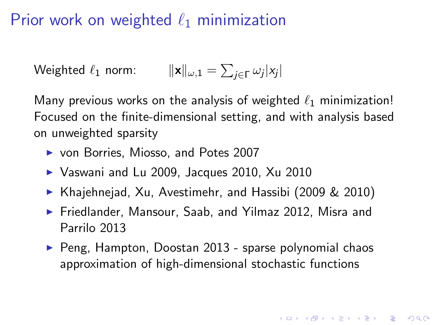### Prior work on weighted  $\ell_1$  minimization

Weighted 
$$
\ell_1
$$
 norm:  $||\mathbf{x}||_{\omega,1} = \sum_{j \in \Gamma} \omega_j |x_j|$ 

Many previous works on the analysis of weighted  $\ell_1$  minimization! Focused on the finite-dimensional setting, and with analysis based on unweighted sparsity

- ▶ von Borries, Miosso, and Potes 2007
- $\blacktriangleright$  Vaswani and Lu 2009, Jacques 2010, Xu 2010
- ▶ Khajehnejad, Xu, Avestimehr, and Hassibi (2009 & 2010)
- ▶ Friedlander, Mansour, Saab, and Yilmaz 2012, Misra and Parrilo 2013
- $\triangleright$  Peng, Hampton, Doostan 2013 sparse polynomial chaos approximation of high-dimensional stochastic functions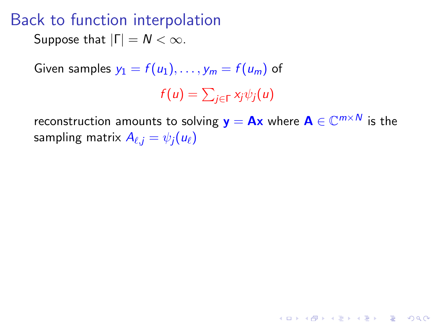### Back to function interpolation

Suppose that  $|\Gamma| = N < \infty$ .

Given samples  $y_1 = f(u_1), \ldots, y_m = f(u_m)$  of

$$
f(u) = \sum_{j \in \Gamma} x_j \psi_j(u)
$$

reconstruction amounts to solving  $\mathbf{y}=\mathbf{A}\mathbf{x}$  where  $\mathbf{A}\in \mathbb{C}^{m\times N}$  is the sampling matrix  $A_{\ell,i} = \psi_i(u_\ell)$ 

**K ロ ▶ K @ ▶ K 할 X X 할 X → 할 X → 9 Q Q ^**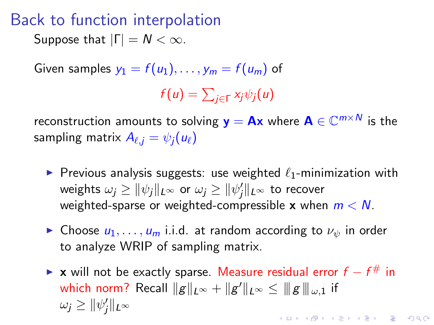### Back to function interpolation

Suppose that  $|\Gamma| = N < \infty$ .

Given samples  $y_1 = f(u_1), \ldots, y_m = f(u_m)$  of

$$
f(u) = \sum_{j \in \Gamma} x_j \psi_j(u)
$$

reconstruction amounts to solving  $\mathbf{y}=\mathbf{A}\mathbf{x}$  where  $\mathbf{A}\in \mathbb{C}^{m\times N}$  is the sampling matrix  $A_{\ell,i} = \psi_i(u_\ell)$ 

- **P** Previous analysis suggests: use weighted  $\ell_1$ -minimization with weights  $\omega_j \geq \|\psi_j\|_{L^\infty}$  or  $\omega_j \geq \|\psi_j'\|_{L^\infty}$  to recover weighted-sparse or weighted-compressible x when  $m < N$ .
- **In Choose**  $u_1, \ldots, u_m$  **i.i.d.** at random according to  $\nu_w$  in order to analyze WRIP of sampling matrix.
- ► x will not be exactly sparse. Measure residual error  $f f^{\#}$  in which norm? Recall  $\|g\|_{L^\infty} + \|g'\|_{L^\infty} \leq \|g\|_{\omega,1}$  if  $\omega_j \geq \|\psi'_j\|_{L^\infty}$ KID KA KERKER E VOOR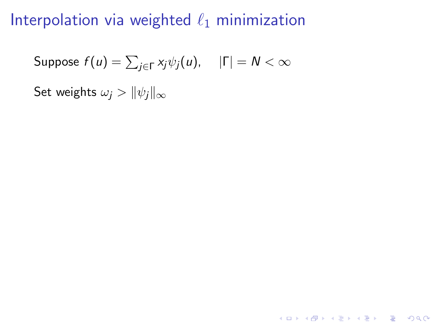Suppose  $f(u)=\sum_{j\in\Gamma}\mathsf{x}_{j}\psi_{j}(u),\quad \, |\Gamma|=N<\infty$ 

Set weights  $\omega_i > ||\psi_i||_{\infty}$ 

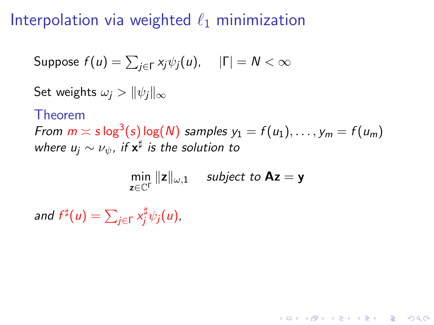Suppose  $f(u)=\sum_{j\in\Gamma}\mathsf{x}_{j}\psi_{j}(u),\quad \, |\Gamma|=N<\infty$ 

Set weights  $\omega_i > ||\psi_i||_{\infty}$ 

Theorem

From  $m \asymp s \log^3(s) \log(N)$  samples  $y_1 = f(u_1), \ldots, y_m = f(u_m)$ where  $u_j \sim \nu_\psi$ , if  $\mathsf{x}^\sharp$  is the solution to

 $\min_{z \in \mathbb{C}^{\Gamma}} \|z\|_{\omega,1}$  subject to **Az** = **y** 

**KORKAR KERKER E VOOR** 

and  $f^{\sharp}(u) = \sum_{j \in \Gamma} x_j^{\sharp} \psi_j(u)$ ,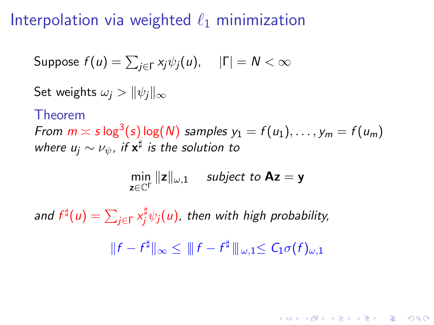Suppose  $f(u)=\sum_{j\in\Gamma}\mathsf{x}_{j}\psi_{j}(u),\quad \, |\Gamma|=N<\infty$ 

Set weights  $\omega_i > ||\psi_i||_{\infty}$ 

Theorem

From  $m \asymp s \log^3(s) \log(N)$  samples  $y_1 = f(u_1), \ldots, y_m = f(u_m)$ where  $u_j \sim \nu_\psi$ , if  $\mathsf{x}^\sharp$  is the solution to

$$
\min_{\mathbf{z}\in\mathbb{C}^{\Gamma}}\|\mathbf{z}\|_{\omega,1} \quad \text{ subject to } \mathbf{A}\mathbf{z} = \mathbf{y}
$$

and  $f^{\sharp}(u)=\sum_{j\in\Gamma}x_{j}^{\sharp}\psi_{j}(u)$ , then with high probability,

 $|| f - f^{\sharp} ||_{\infty} \leq ||f - f^{\sharp} ||_{\omega, 1} \leq C_1 \sigma(f)_{\omega, 1}$ 

**KORKAR KERKER E VOOR**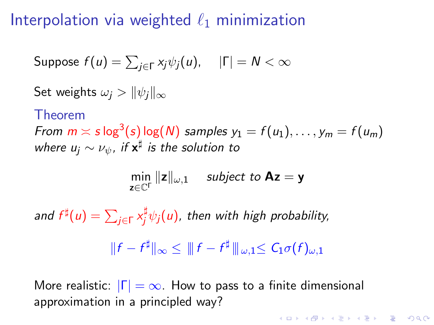Suppose  $f(u)=\sum_{j\in\Gamma}\mathsf{x}_{j}\psi_{j}(u),\quad \, |\Gamma|=N<\infty$ 

Set weights  $\omega_i > ||\psi_i||_{\infty}$ 

Theorem

From  $m \asymp s \log^3(s) \log(N)$  samples  $y_1 = f(u_1), \ldots, y_m = f(u_m)$ where  $u_j \sim \nu_\psi$ , if  $\mathsf{x}^\sharp$  is the solution to

$$
\min_{\mathbf{z}\in\mathbb{C}^{\Gamma}}\|\mathbf{z}\|_{\omega,1} \quad \text{ subject to } \mathbf{A}\mathbf{z} = \mathbf{y}
$$

and  $f^{\sharp}(u)=\sum_{j\in\Gamma}x_{j}^{\sharp}\psi_{j}(u)$ , then with high probability,

 $|| f - f^{\sharp} ||_{\infty} \leq ||f - f^{\sharp} ||_{\omega, 1} \leq C_1 \sigma(f)_{\omega, 1}$ 

**KORKAR KERKER E VOOR** 

More realistic:  $|\Gamma| = \infty$ . How to pass to a finite dimensional approximation in a principled way?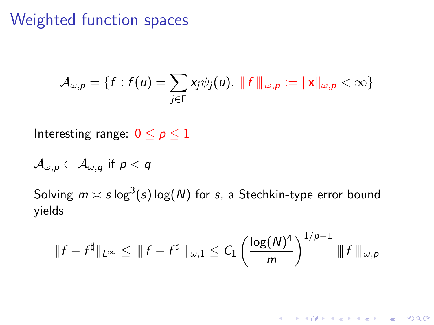### Weighted function spaces

$$
\mathcal{A}_{\omega,p} = \{f : f(u) = \sum_{j \in \Gamma} x_j \psi_j(u), \|\|f\|_{\omega,p} := \|\mathbf{x}\|_{\omega,p} < \infty\}
$$

Interesting range:  $0 \le p \le 1$ 

$$
\mathcal{A}_{\omega,p}\subset \mathcal{A}_{\omega,q} \text{ if } p< q
$$

Solving  $m \asymp s\log^3(s)$  log(N) for  $s$ , a Stechkin-type error bound yields

$$
||f - f^{\sharp}||_{L^{\infty}} \leq ||f - f^{\sharp}||_{\omega,1} \leq C_1 \left(\frac{\log(N)^4}{m}\right)^{1/p-1} ||f||_{\omega,p}
$$

K ロ ▶ K @ ▶ K 할 > K 할 > 1 할 > 1 이익어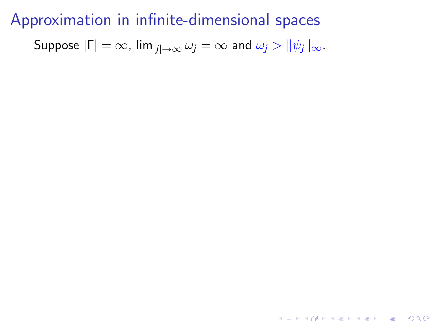Suppose  $|\Gamma| = \infty$ ,  $\lim_{|j| \to \infty} \omega_j = \infty$  and  $\omega_j > ||\psi_j||_{\infty}$ .

**K ロ ▶ K @ ▶ K 할 X X 할 X 및 할 X X Q Q O \***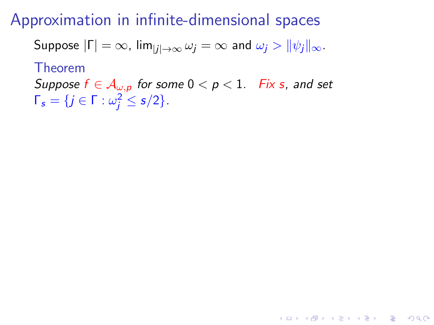Suppose  $|\Gamma| = \infty$ ,  $\lim_{|i| \to \infty} \omega_i = \infty$  and  $\omega_i > ||\psi_i||_{\infty}$ .

Theorem

Suppose  $f \in A_{\omega,p}$  for some  $0 < p < 1$ . Fix s, and set  $\Gamma_s = \{j \in \Gamma : \omega_j^2 \le s/2\}.$ 

**KORKAR KERKER E VOOR**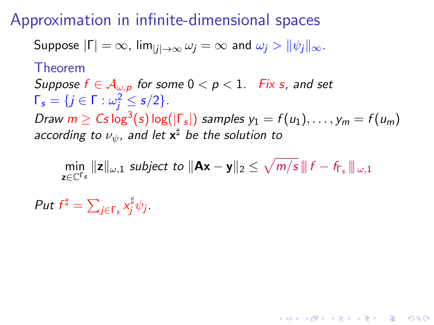Suppose  $|\Gamma| = \infty$ ,  $\lim_{|i| \to \infty} \omega_i = \infty$  and  $\omega_i > ||\psi_i||_{\infty}$ .

Theorem

Suppose  $f \in A_{\omega, p}$  for some  $0 < p < 1$ . Fix s, and set  $\Gamma_s = \{j \in \Gamma : \omega_j^2 \le s/2\}.$ 

Draw  $m \geq C$ s log $^3(s)$  log $(|\Gamma_s|)$  samples  $y_1 = f(u_1), \ldots, y_m = f(u_m)$ according to  $\nu_\psi$ , and let  $\mathsf{x}^\sharp$  be the solution to

 $\min_{\mathbf{z}\in\mathbb{C}^{\Gamma_{\mathbf{s}}}}\|\mathbf{z}\|_{\omega,1}$  subject to  $\|\mathbf{Ax}-\mathbf{y}\|_2\leq\sqrt{m/s}\,\| \,f-f_{\Gamma_{\mathbf{s}}}\,\|_{\,\omega,1}$ 

**KORKAR KERKER E VOOR** 

Put  $f^{\sharp} = \sum_{j \in \Gamma_s} x_j^{\sharp} \psi_j$ .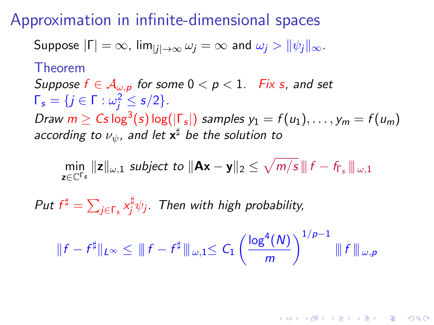Suppose 
$$
|\Gamma| = \infty
$$
,  $\lim_{|j| \to \infty} \omega_j = \infty$  and  $\omega_j > ||\psi_j||_{\infty}$ .

Theorem

Suppose  $f \in A_{\omega, p}$  for some  $0 < p < 1$ . Fix s, and set  $\Gamma_s = \{j \in \Gamma : \omega_j^2 \le s/2\}.$ 

Draw  $m \geq C$ s log $^3(s)$  log $(|\Gamma_s|)$  samples  $y_1 = f(u_1), \ldots, y_m = f(u_m)$ according to  $\nu_\psi$ , and let  $\mathsf{x}^\sharp$  be the solution to

 $\min_{\mathbf{z}\in\mathbb{C}^{\Gamma_{\mathbf{s}}}}\|\mathbf{z}\|_{\omega,1}$  subject to  $\|\mathbf{Ax}-\mathbf{y}\|_2\leq\sqrt{m/s}\,\| \,f-f_{\Gamma_{\mathbf{s}}}\,\|_{\,\omega,1}$ 

Put  $f^{\sharp} = \sum_{j \in \Gamma_s} x_j^{\sharp} \psi_j$ . Then with high probability,

$$
||f - f^{\sharp}||_{L^{\infty}} \le ||f - f^{\sharp}||_{\omega, 1} \le C_1 \left(\frac{\log^4(N)}{m}\right)^{1/p-1} ||f||_{\omega, p}
$$

**KORKAR KERKER EL VOLO**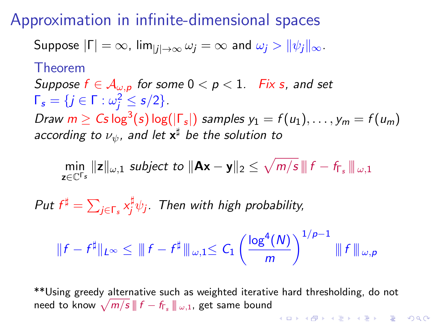Suppose 
$$
|\Gamma| = \infty
$$
,  $\lim_{|j| \to \infty} \omega_j = \infty$  and  $\omega_j > ||\psi_j||_{\infty}$ .

Theorem

Suppose  $f \in A_{\omega, p}$  for some  $0 < p < 1$ . Fix s, and set  $\Gamma_s = \{j \in \Gamma : \omega_j^2 \le s/2\}.$ 

Draw  $m \geq C$ s log $^3(s)$  log $(|\Gamma_s|)$  samples  $y_1 = f(u_1), \ldots, y_m = f(u_m)$ according to  $\nu_\psi$ , and let  $\mathsf{x}^\sharp$  be the solution to

 $\min_{\mathbf{z}\in\mathbb{C}^{\Gamma_{\mathbf{s}}}}\|\mathbf{z}\|_{\omega,1}$  subject to  $\|\mathbf{Ax}-\mathbf{y}\|_2\leq\sqrt{m/s}\,\| \,f-f_{\Gamma_{\mathbf{s}}}\,\|_{\,\omega,1}$ 

Put  $f^{\sharp} = \sum_{j \in \Gamma_s} x_j^{\sharp} \psi_j$ . Then with high probability,

$$
||f - f^{\sharp}||_{L^{\infty}} \le ||f - f^{\sharp}||_{\omega, 1} \le C_1 \left(\frac{\log^4(N)}{m}\right)^{1/p-1} ||f||_{\omega, p}
$$

\*\*Using greedy alternative such as weighted iterative hard thresholding, do not need to know  $\sqrt{m/s}$   $\parallel$   $f - f_{\mathsf{\Gamma}_s} \parallel \!\! \parallel_{\omega,1}$ , get same bound **KORKAR KERKER EL VOLO**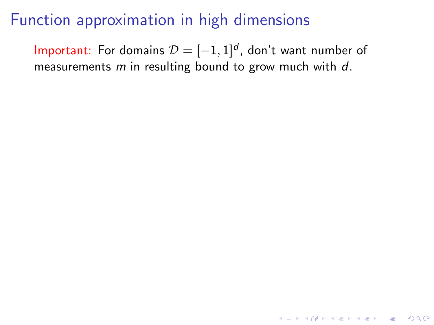### Function approximation in high dimensions

Important: For domains  $\mathcal{D} = [-1,1]^d$ , don't want number of measurements  $m$  in resulting bound to grow much with  $d$ .

**K ロ ▶ K @ ▶ K 할 X X 할 X 및 할 X X Q Q O**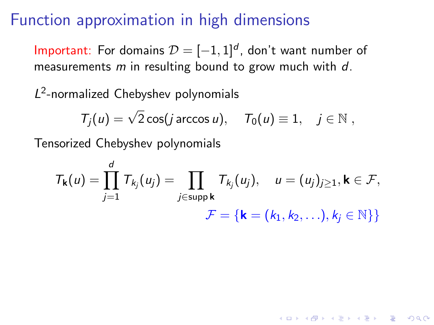### <span id="page-39-0"></span>Function approximation in high dimensions

Important: For domains  $\mathcal{D} = [-1,1]^d$ , don't want number of measurements  $m$  in resulting bound to grow much with  $d$ .

L<sup>2</sup>-normalized Chebyshev polynomials

$$
T_j(u) = \sqrt{2} \cos(j \arccos u), \quad T_0(u) \equiv 1, \quad j \in \mathbb{N},
$$

Tensorized Chebyshev polynomials

$$
T_{\mathbf{k}}(u) = \prod_{j=1}^d T_{k_j}(u_j) = \prod_{j \in \text{supp } \mathbf{k}} T_{k_j}(u_j), \quad u = (u_j)_{j \geq 1}, \mathbf{k} \in \mathcal{F},
$$

$$
\mathcal{F} = \{ \mathbf{k} = (k_1, k_2, \ldots), k_j \in \mathbb{N} \} \}
$$

**K ロ ▶ K @ ▶ K 할 X X 할 X 및 할 X X Q Q O**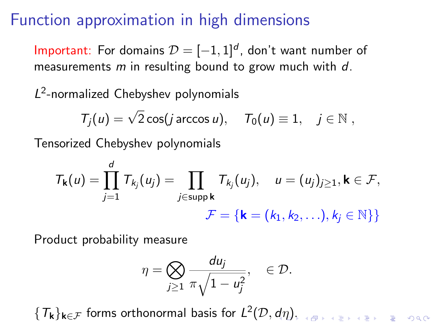### Function approximation in high dimensions

Important: For domains  $\mathcal{D} = [-1,1]^d$ , don't want number of measurements  $m$  in resulting bound to grow much with  $d$ .

L<sup>2</sup>-normalized Chebyshev polynomials

$$
T_j(u) = \sqrt{2} \cos(j \arccos u), \quad T_0(u) \equiv 1, \quad j \in \mathbb{N},
$$

Tensorized Chebyshev polynomials

$$
T_{\mathbf{k}}(u) = \prod_{j=1}^d T_{k_j}(u_j) = \prod_{j \in \text{supp } \mathbf{k}} T_{k_j}(u_j), \quad u = (u_j)_{j \geq 1}, \mathbf{k} \in \mathcal{F},
$$

$$
\mathcal{F} = \{\mathbf{k} = (k_1, k_2, \ldots), k_j \in \mathbb{N}\}\}
$$

Product probability measure

$$
\eta = \bigotimes_{j\geq 1} \frac{du_j}{\pi \sqrt{1 - u_j^2}}, \quad \in \mathcal{D}.
$$

 $\set{\mathcal{T}_\mathbf{k}}_{\mathbf{k}\in\mathcal{F}}$  forms orthonormal basis for  $L^2(\mathcal{D},d\eta),$  $L^2(\mathcal{D},d\eta),$  $L^2(\mathcal{D},d\eta),$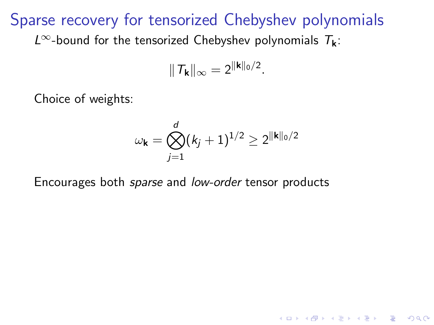#### <span id="page-41-0"></span>Sparse recovery for tensorized Chebyshev polynomials

L<sup>∞</sup>-bound for the tensorized Chebyshev polynomials  $T_k$ :

$$
\|\mathcal{T}_{\mathbf{k}}\|_{\infty}=2^{\|\mathbf{k}\|_0/2}.
$$

Choice of weights:

$$
\omega_{\mathbf{k}} = \bigotimes_{j=1}^d (k_j+1)^{1/2} \ge 2^{\|\mathbf{k}\|_0/2}
$$

**KORK ERKER ADE YOUR** 

Encourages both sparse and low-order tensor products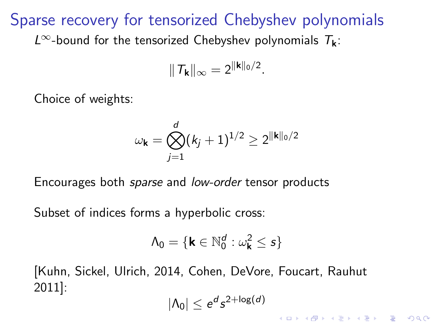#### Sparse recovery for tensorized Chebyshev polynomials

 $L^{\infty}$ -bound for the tensorized Chebyshev polynomials  $T_{\mathbf{k}}$ :

$$
\|\mathcal{T}_{\mathbf{k}}\|_{\infty}=2^{\|\mathbf{k}\|_0/2}.
$$

Choice of weights:

$$
\omega_{\mathbf{k}} = \bigotimes_{j=1}^d (k_j+1)^{1/2} \ge 2^{\|\mathbf{k}\|_0/2}
$$

Encourages both sparse and low-order tensor products

Subset of indices forms a hyperbolic cross:

$$
\Lambda_0 = \{ \mathbf{k} \in \mathbb{N}_0^d : \omega_{\mathbf{k}}^2 \le s \}
$$

[Kuhn, Sickel, Ulrich, 2014, Cohen, DeVore, Foucart, Rauhut 2011]:

$$
|\Lambda_0| \leq e^d s^{2 + \log(d)}
$$

**KORKAR KERKER E VOOR**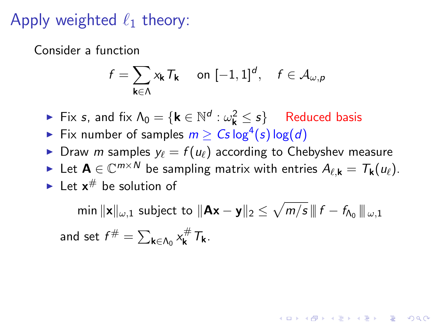### Apply weighted  $\ell_1$  theory:

Consider a function

$$
f = \sum_{\mathbf{k} \in \Lambda} x_{\mathbf{k}} \, T_{\mathbf{k}} \quad \text{ on } [-1,1]^d, \quad f \in \mathcal{A}_{\omega,p}
$$

► Fix s, and fix  $\Lambda_0 = \{ \mathbf{k} \in \mathbb{N}^d : \omega_{\mathbf{k}}^2 \leq s \}$  Reduced basis

- Fix number of samples  $m \geq Cs \log^4(s) \log(d)$
- In Draw *m* samples  $y_\ell = f(u_\ell)$  according to Chebyshev measure
- ► Let  $\mathbf{A} \in \mathbb{C}^{m \times N}$  be sampling matrix with entries  $A_{\ell, \mathbf{k}} = T_{\mathbf{k}}(u_{\ell}).$
- In Let  $x^{\#}$  be solution of

min  $\|\mathbf{x}\|_{\omega,1}$  subject to  $\|\mathbf{Ax}-\mathbf{y}\|_2\leq \sqrt{m/s}\,$  (  $f-f_{\mathsf{\Lambda}_{0}}\|_{\omega,1}$ and set  $f^{\#} = \sum_{\mathbf{k} \in \Lambda_0} x_{\mathbf{k}}^{\#} T_{\mathbf{k}}$ .

**KORKAR KERKER EL VOLO**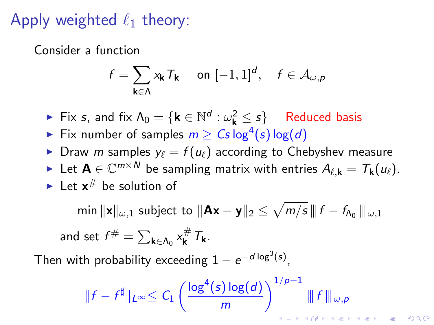### Apply weighted  $\ell_1$  theory:

Consider a function

$$
f = \sum_{\mathbf{k} \in \Lambda} x_{\mathbf{k}} T_{\mathbf{k}} \quad \text{ on } [-1,1]^d, \quad f \in \mathcal{A}_{\omega,p}
$$

► Fix s, and fix  $\Lambda_0 = \{ \mathbf{k} \in \mathbb{N}^d : \omega_{\mathbf{k}}^2 \leq s \}$  Reduced basis

- Fix number of samples  $m \geq Cs \log^4(s) \log(d)$
- In Draw *m* samples  $y_\ell = f(u_\ell)$  according to Chebyshev measure
- ► Let  $\mathbf{A} \in \mathbb{C}^{m \times N}$  be sampling matrix with entries  $A_{\ell, \mathbf{k}} = T_{\mathbf{k}}(u_{\ell}).$
- In Let  $x^{\#}$  be solution of

min  $\|\mathbf{x}\|_{\omega,1}$  subject to  $\|\mathbf{Ax}-\mathbf{y}\|_2 \leq \sqrt{m/s}\,$  (  $f-f_{\mathsf{\Lambda}_{0}}\|_{\omega,1}$ and set  $f^{\#} = \sum_{\mathbf{k} \in \Lambda_0} x_{\mathbf{k}}^{\#} T_{\mathbf{k}}$ .

Then with probability exceeding  $1-e^{-d\log^3(s)}$ ,

$$
\|f - f^{\sharp}\|_{L^{\infty}} \leq C_1 \left(\frac{\log^4(s) \log(d)}{m}\right)^{1/p-1} \|\!| f \|\!|_{\omega, p}
$$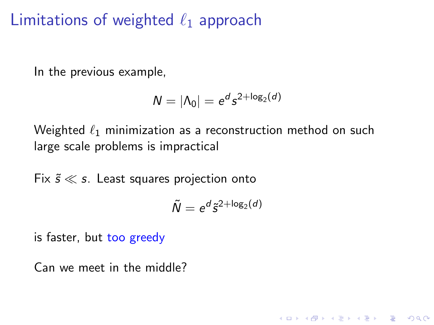### Limitations of weighted  $\ell_1$  approach

In the previous example,

$$
N=|\Lambda_0|=e^d s^{2+\log_2(d)}
$$

Weighted  $\ell_1$  minimization as a reconstruction method on such large scale problems is impractical

Fix  $\tilde{s} \ll s$ . Least squares projection onto

$$
\tilde{N}=e^{d}\tilde{s}^{2+\log_2(d)}
$$

**KORK ERKER ADE YOUR** 

is faster, but too greedy

Can we meet in the middle?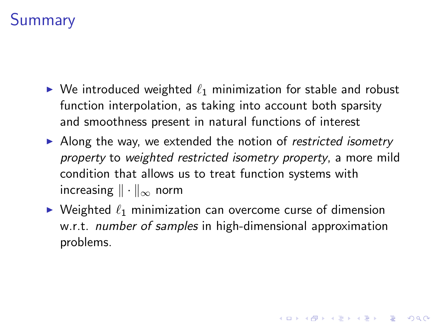# **Summary**

- $\triangleright$  We introduced weighted  $\ell_1$  minimization for stable and robust function interpolation, as taking into account both sparsity and smoothness present in natural functions of interest
- $\triangleright$  Along the way, we extended the notion of restricted isometry property to weighted restricted isometry property, a more mild condition that allows us to treat function systems with increasing  $\|\cdot\|_{\infty}$  norm
- $\blacktriangleright$  Weighted  $\ell_1$  minimization can overcome curse of dimension w.r.t. *number of samples* in high-dimensional approximation problems.

**KORKAR KERKER E VOOR**